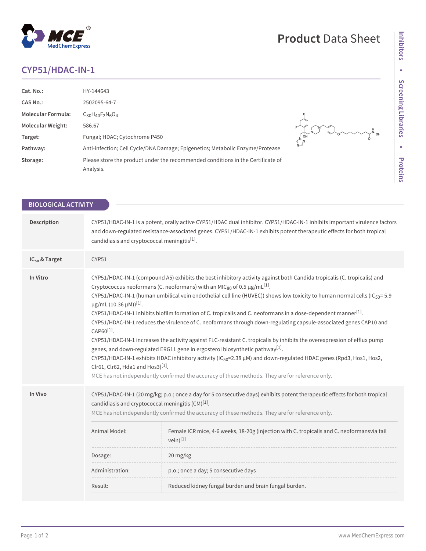## **CYP51/HDAC-IN-1**

MedChemExpress

 $^\circledR$ 

| Cat. No.:                 | HY-144643                                                                                    |           |
|---------------------------|----------------------------------------------------------------------------------------------|-----------|
| <b>CAS No.:</b>           | 2502095-64-7                                                                                 |           |
| <b>Molecular Formula:</b> | $C_{30}H_{40}F_{2}N_{6}O_{4}$                                                                |           |
| <b>Molecular Weight:</b>  | 586.67                                                                                       |           |
| Target:                   | Fungal; HDAC; Cytochrome P450                                                                | OH<br>∩ ∖ |
| Pathway:                  | Anti-infection; Cell Cycle/DNA Damage; Epigenetics; Metabolic Enzyme/Protease                |           |
| Storage:                  | Please store the product under the recommended conditions in the Certificate of<br>Analysis. |           |

| <b>BIOLOGICAL ACTIVITY</b> |                                                                                                                                                                                                                                                                                                                                                                                                                                                                                                                                                                                                                                                                                                                                                                                                                                                                                                                                                                                                                                                                                                                                                                                                          |  |  |
|----------------------------|----------------------------------------------------------------------------------------------------------------------------------------------------------------------------------------------------------------------------------------------------------------------------------------------------------------------------------------------------------------------------------------------------------------------------------------------------------------------------------------------------------------------------------------------------------------------------------------------------------------------------------------------------------------------------------------------------------------------------------------------------------------------------------------------------------------------------------------------------------------------------------------------------------------------------------------------------------------------------------------------------------------------------------------------------------------------------------------------------------------------------------------------------------------------------------------------------------|--|--|
|                            |                                                                                                                                                                                                                                                                                                                                                                                                                                                                                                                                                                                                                                                                                                                                                                                                                                                                                                                                                                                                                                                                                                                                                                                                          |  |  |
| Description                | CYP51/HDAC-IN-1 is a potent, orally active CYP51/HDAC dual inhibitor. CYP51/HDAC-IN-1 inhibits important virulence factors<br>and down-regulated resistance-associated genes. CYP51/HDAC-IN-1 exhibits potent therapeutic effects for both tropical<br>candidiasis and cryptococcal meningitis <sup>[1]</sup> .                                                                                                                                                                                                                                                                                                                                                                                                                                                                                                                                                                                                                                                                                                                                                                                                                                                                                          |  |  |
| IC <sub>50</sub> & Target  | CYP51                                                                                                                                                                                                                                                                                                                                                                                                                                                                                                                                                                                                                                                                                                                                                                                                                                                                                                                                                                                                                                                                                                                                                                                                    |  |  |
| In Vitro                   | CYP51/HDAC-IN-1 (compound A5) exhibits the best inhibitory activity against both Candida tropicalis (C. tropicalis) and<br>Cryptococcus neoformans (C. neoformans) with an MIC <sub>80</sub> of 0.5 $\mu$ g/mL <sup>[1]</sup> .<br>CYP51/HDAC-IN-1 (human umbilical vein endothelial cell line (HUVEC)) shows low toxicity to human normal cells (IC <sub>50</sub> =5.9<br>$\mu$ g/mL (10.36 $\mu$ M)) <sup>[1]</sup> .<br>CYP51/HDAC-IN-1 inhibits biofilm formation of C. tropicalis and C. neoformans in a dose-dependent manner <sup>[1]</sup> .<br>CYP51/HDAC-IN-1 reduces the virulence of C. neoformans through down-regulating capsule-associated genes CAP10 and<br>CAP60 <sup>[1]</sup> .<br>CYP51/HDAC-IN-1 increases the activity against FLC-resistant C. tropicalis by inhibits the overexpression of efflux pump<br>genes, and down-regulated ERG11 gene in ergosterol biosynthetic pathway <sup>[1]</sup> .<br>CYP51/HDAC-IN-1 exhibits HDAC inhibitory activity (IC <sub>50</sub> =2.38 µM) and down-regulated HDAC genes (Rpd3, Hos1, Hos2,<br>Clr61, Clr62, Hda1 and Hos3) $[1]$ .<br>MCE has not independently confirmed the accuracy of these methods. They are for reference only. |  |  |
| In Vivo                    | CYP51/HDAC-IN-1 (20 mg/kg; p.o.; once a day for 5 consecutive days) exhibits potent therapeutic effects for both tropical<br>candidiasis and cryptococcal meningitis $(CM)^{[1]}$ .<br>MCE has not independently confirmed the accuracy of these methods. They are for reference only.<br>Animal Model:<br>Female ICR mice, 4-6 weeks, 18-20g (injection with C. tropicalis and C. neoformansvia tail<br>$vein$ <sup>[1]</sup><br>20 mg/kg<br>Dosage:<br>Administration:<br>p.o.; once a day; 5 consecutive days<br>Reduced kidney fungal burden and brain fungal burden.<br>Result:                                                                                                                                                                                                                                                                                                                                                                                                                                                                                                                                                                                                                     |  |  |
|                            |                                                                                                                                                                                                                                                                                                                                                                                                                                                                                                                                                                                                                                                                                                                                                                                                                                                                                                                                                                                                                                                                                                                                                                                                          |  |  |